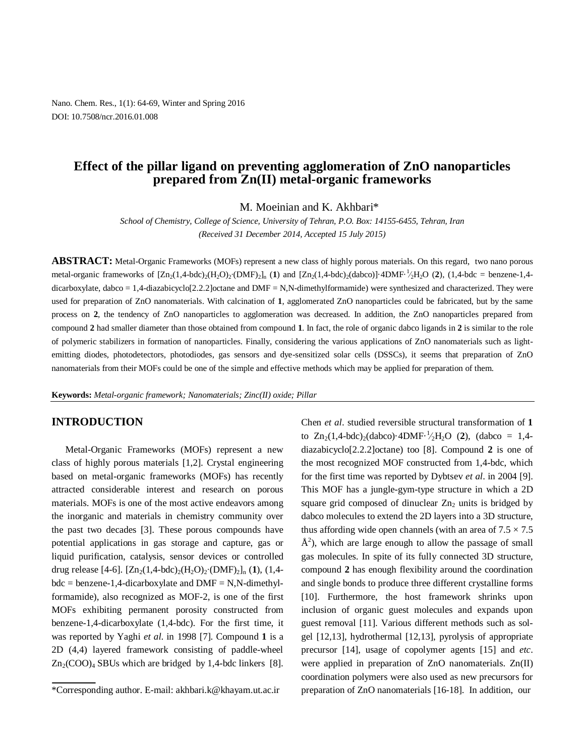Nano. Chem. Res., 1(1): 64-69, Winter and Spring 2016 DOI: 10.7508/ncr.2016.01.008

# **Effect of the pillar ligand on preventing agglomeration of ZnO nanoparticles prepared from Zn(II) metal-organic frameworks**

M. Moeinian and K. Akhbari\*

*School of Chemistry, College of Science, University of Tehran, P.O. Box: 14155-6455, Tehran, Iran (Received 31 December 2014, Accepted 15 July 2015)*

**ABSTRACT:** Metal-Organic Frameworks (MOFs) represent a new class of highly porous materials. On this regard, two nano porous metal-organic frameworks of [Zn<sub>2</sub>(1,4-bdc)<sub>2</sub>(H<sub>2</sub>O)<sub>2</sub>·(DMF)<sub>2</sub>]<sub>n</sub> (1) and [Zn<sub>2</sub>(1,4-bdc)<sub>2</sub>(dabco)]·4DMF·<sup>1</sup>/<sub>2</sub>H<sub>2</sub>O (2), (1,4-bdc = benzene-1,4dicarboxylate, dabco = 1,4-diazabicyclo[2.2.2]octane and DMF = N,N-dimethylformamide) were synthesized and characterized. They were used for preparation of ZnO nanomaterials. With calcination of **1**, agglomerated ZnO nanoparticles could be fabricated, but by the same process on **2**, the tendency of ZnO nanoparticles to agglomeration was decreased. In addition, the ZnO nanoparticles prepared from compound **2** had smaller diameter than those obtained from compound **1**. In fact, the role of organic dabco ligands in **2** is similar to the role of polymeric stabilizers in formation of nanoparticles. Finally, considering the various applications of ZnO nanomaterials such as lightemitting diodes, photodetectors, photodiodes, gas sensors and dye-sensitized solar cells (DSSCs), it seems that preparation of ZnO nanomaterials from their MOFs could be one of the simple and effective methods which may be applied for preparation of them.

**Keywords:** *Metal-organic framework; Nanomaterials; Zinc(II) oxide; Pillar*

#### **INTRODUCTION**

Metal-Organic Frameworks (MOFs) represent a new class of highly porous materials [1,2]. Crystal engineering based on metal-organic frameworks (MOFs) has recently attracted considerable interest and research on porous materials. MOFs is one of the most active endeavors among the inorganic and materials in chemistry community over the past two decades [3]. These porous compounds have potential applications in gas storage and capture, gas or liquid purification, catalysis, sensor devices or controlled drug release [4-6]. [Zn2(1,4-bdc)2(H2O)2∙(DMF)2]n (**1**), (1,4  $bdc = benzene-1,4-dicarboxylate$  and  $DMF = N,N-dimethyl$ formamide), also recognized as MOF-2, is one of the first MOFs exhibiting permanent porosity constructed from benzene-1,4-dicarboxylate (1,4-bdc). For the first time, it was reported by Yaghi *et al*. in 1998 [7]. Compound **1** is a 2D (4,4) layered framework consisting of paddle-wheel  $Zn_2(COO)_4$  SBUs which are bridged by 1,4-bdc linkers [8]. Chen *et al*. studied reversible structural transformation of **1** to  $Zn_2(1,4-bdc)_{2}(dabc)$  4DMF $\cdot \frac{1}{2}H_2O$  (2), (dabco = 1,4diazabicyclo[2.2.2]octane) too [8]. Compound **2** is one of the most recognized MOF constructed from 1,4-bdc, which for the first time was reported by Dybtsev *et al*. in 2004 [9]. This MOF has a jungle-gym-type structure in which a 2D square grid composed of dinuclear  $Zn<sub>2</sub>$  units is bridged by dabco molecules to extend the 2D layers into a 3D structure, thus affording wide open channels (with an area of  $7.5 \times 7.5$  $\AA^2$ ), which are large enough to allow the passage of small gas molecules. In spite of its fully connected 3D structure, compound **2** has enough flexibility around the coordination and single bonds to produce three different crystalline forms [10]. Furthermore, the host framework shrinks upon inclusion of organic guest molecules and expands upon guest removal [11]. Various different methods such as solgel [12,13], hydrothermal [12,13], pyrolysis of appropriate precursor [14], usage of copolymer agents [15] and *etc*. were applied in preparation of ZnO nanomaterials. Zn(II) coordination polymers were also used as new precursors for preparation of ZnO nanomaterials [16-18]. In addition, our

<sup>\*</sup>Corresponding author. E-mail: akhbari.k@khayam.ut.ac.ir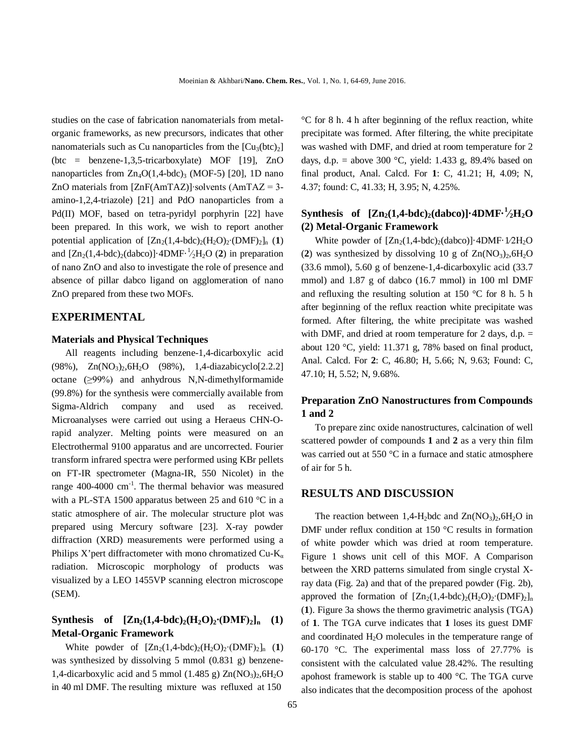studies on the case of fabrication nanomaterials from metalorganic frameworks, as new precursors, indicates that other nanomaterials such as Cu nanoparticles from the  $[Cu_3(btc)_2]$ (btc = benzene-1,3,5-tricarboxylate) MOF [19], ZnO nanoparticles from  $Zn_4O(1,4-bdc)$ <sub>3</sub> (MOF-5) [20], 1D nano ZnO materials from [ZnF(AmTAZ)]∙solvents (AmTAZ = 3 amino-1,2,4-triazole) [21] and PdO nanoparticles from a Pd(II) MOF, based on tetra-pyridyl porphyrin [22] have been prepared. In this work, we wish to report another potential application of  $[Zn_2(1,4-bdc)_2(H_2O)_2(DMF)_2]_n$  (1) and  $[Zn_2(1,4-bdc)_2(dabco)]$ ·4DMF·<sup>1</sup>/<sub>2</sub>H<sub>2</sub>O (2) in preparation of nano ZnO and also to investigate the role of presence and absence of pillar dabco ligand on agglomeration of nano ZnO prepared from these two MOFs.

#### **EXPERIMENTAL**

#### **Materials and Physical Techniques**

All reagents including benzene-1,4-dicarboxylic acid  $(98\%), \quad Zn(NO<sub>3</sub>)<sub>2</sub>, 6H<sub>2</sub>O \quad (98\%), \quad 1,4-diazabicyclo[2.2.2]$ octane  $(\geq 99\%)$  and anhydrous N,N-dimethylformamide (99.8%) for the synthesis were commercially available from Sigma-Aldrich company and used as received. Microanalyses were carried out using a Heraeus CHN-Orapid analyzer. Melting points were measured on an Electrothermal 9100 apparatus and are uncorrected. Fourier transform infrared spectra were performed using KBr pellets on FT-IR spectrometer (Magna-IR, 550 Nicolet) in the range 400-4000 cm<sup>-1</sup>. The thermal behavior was measured with a PL-STA 1500 apparatus between 25 and 610 °C in a static atmosphere of air. The molecular structure plot was prepared using Mercury software [23]. X-ray powder diffraction (XRD) measurements were performed using a Philips X'pert diffractometer with mono chromatized Cu-K<sub>a</sub> radiation. Microscopic morphology of products was visualized by a LEO 1455VP scanning electron microscope (SEM).

# **Synthesis of**  $[Zn_2(1,4-bdc)_2(H_2O)_2(DMF)_2]_n$  **(1) Metal-Organic Framework**

White powder of  $[Zn_2(1,4-bdc)_2(H_2O)_2(DMF)_2]_n$  (1) was synthesized by dissolving 5 mmol (0.831 g) benzene-1,4-dicarboxylic acid and 5 mmol (1.485 g)  $Zn(NO<sub>3</sub>)<sub>2</sub>, 6H<sub>2</sub>O$ in 40 ml DMF. The resulting mixture was refluxed at 150

°C for 8 h. 4 h after beginning of the reflux reaction, white precipitate was formed. After filtering, the white precipitate was washed with DMF, and dried at room temperature for 2 days, d.p. = above 300 °C, yield: 1.433 g, 89.4% based on final product, Anal. Calcd. For **1**: C, 41.21; H, 4.09; N, 4.37; found: C, 41.33; H, 3.95; N, 4.25%.

# **Synthesis** of  $[\text{Zn}_2(1,4-\text{bdc})_2(\text{dabc})]\cdot 4\text{DMF}\cdot \frac{1}{2}H_2\text{O}$ **(2) Metal-Organic Framework**

White powder of  $[Zn_2(1,4-bdc)_2(dabco)]$ ·4DMF·1/2H<sub>2</sub>O (2) was synthesized by dissolving 10 g of  $\text{Zn}(\text{NO}_3)_2, 6\text{H}_2\text{O}$ (33.6 mmol), 5.60 g of benzene-1,4-dicarboxylic acid (33.7 mmol) and 1.87 g of dabco (16.7 mmol) in 100 ml DMF and refluxing the resulting solution at 150 °C for 8 h. 5 h after beginning of the reflux reaction white precipitate was formed. After filtering, the white precipitate was washed with DMF, and dried at room temperature for 2 days,  $d.p. =$ about 120 °C, yield: 11.371 g, 78% based on final product, Anal. Calcd. For **2**: C, 46.80; H, 5.66; N, 9.63; Found: C, 47.10; H, 5.52; N, 9.68%.

## **Preparation ZnO Nanostructures from Compounds 1 and 2**

To prepare zinc oxide nanostructures, calcination of well scattered powder of compounds **1** and **2** as a very thin film was carried out at 550 °C in a furnace and static atmosphere of air for 5 h.

#### **RESULTS AND DISCUSSION**

The reaction between 1,4-H<sub>2</sub>bdc and  $Zn(NO_3)$ <sub>2</sub>,6H<sub>2</sub>O in DMF under reflux condition at 150 °C results in formation of white powder which was dried at room temperature. Figure 1 shows unit cell of this MOF. A Comparison between the XRD patterns simulated from single crystal Xray data (Fig. 2a) and that of the prepared powder (Fig. 2b), approved the formation of  $[Zn_2(1,4-bdc)_2(H_2O)_2(DMF)_2]_n$ (**1**). Figure 3a shows the thermo gravimetric analysis (TGA) of **1**. The TGA curve indicates that **1** loses its guest DMF and coordinated H<sub>2</sub>O molecules in the temperature range of 60-170 °C. The experimental mass loss of 27.77% is consistent with the calculated value 28.42%. The resulting apohost framework is stable up to 400 °C. The TGA curve also indicates that the decomposition process of the apohost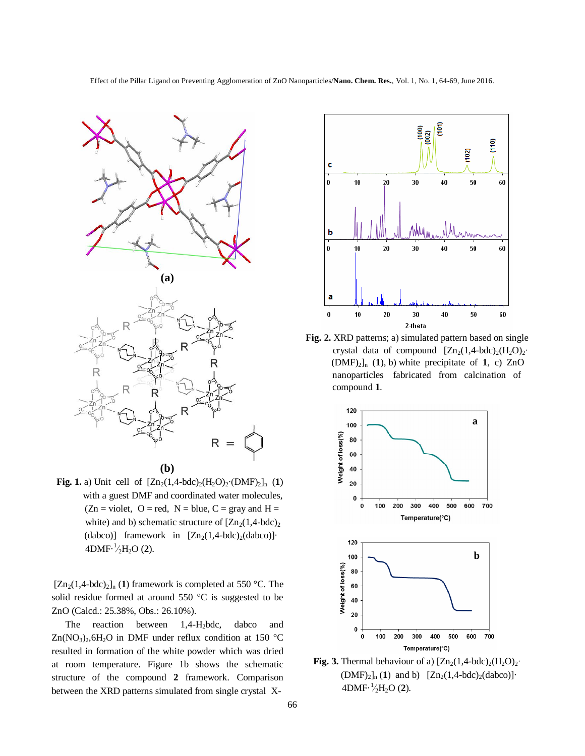

**Fig. 1.** a) Unit cell of  $[Zn_2(1,4-bdc)_2(H_2O)_2(DMF)_2]_n$  (1) with a guest DMF and coordinated water molecules,  $(Zn = violet, O = red, N = blue, C = gray and H =$ white) and b) schematic structure of  $[Zn_2(1,4-bdc)_2$ (dabco)] framework in  $[Zn_2(1,4-bdc)_2(dabco)]$ 4DMF $\cdot \frac{1}{2}H_2O(2)$ .

 $[Zn_2(1,4-bdc)_2]_n$  (1) framework is completed at 550 °C. The solid residue formed at around  $550 °C$  is suggested to be ZnO (Calcd.: 25.38%, Obs.: 26.10%).

The reaction between 1,4-H<sub>2</sub>bdc, dabco and  $Zn(NO_3)$ <sub>2</sub>,6H<sub>2</sub>O in DMF under reflux condition at 150 °C resulted in formation of the white powder which was dried at room temperature. Figure 1b shows the schematic structure of the compound **2** framework. Comparison between the XRD patterns simulated from single crystal X-



**Fig. 2.** XRD patterns; a) simulated pattern based on single crystal data of compound  $[Zn_2(1,4-bdc)_2(H_2O)_2$ <sup>•</sup>  $(DMF)_2$ <sub>n</sub> (1), b) white precipitate of 1, c) ZnO nanoparticles fabricated from calcination of compound **1**.



**Fig. 3.** Thermal behaviour of a)  $[Zn_2(1,4-bdc)_2(H_2O)_2$ <sup>•</sup>  $(DMF)_2]_n (1)$  and b)  $[Zn_2(1,4-bdc)_2(dabco)]$ 4DMF $\cdot \frac{1}{2}H_2O(2)$ .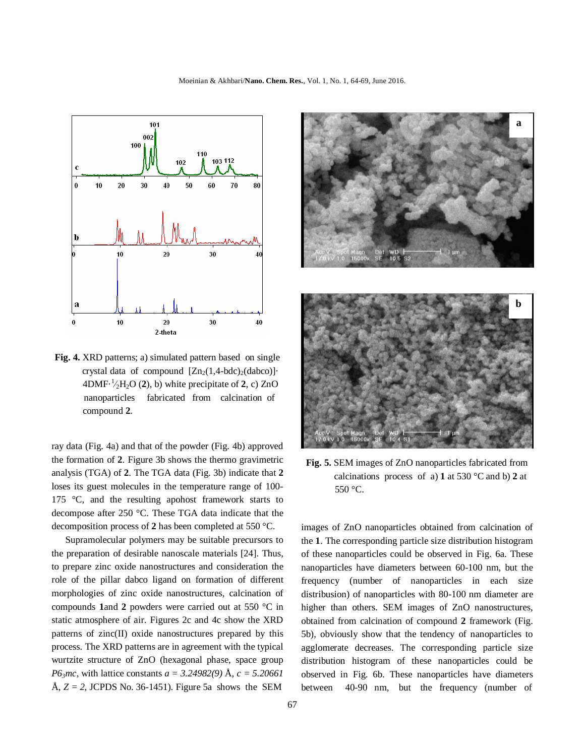

**Fig. 4.** XRD patterns; a) simulated pattern based on single crystal data of compound  $[Zn_2(1,4-bdc)_2(dabco)]$  $4DMF \cdot \frac{1}{2}H_2O(2)$ , b) white precipitate of 2, c) ZnO nanoparticles fabricated from calcination of compound **2**.

ray data (Fig. 4a) and that of the powder (Fig. 4b) approved the formation of **2**. Figure 3b shows the thermo gravimetric analysis (TGA) of **2**. The TGA data (Fig. 3b) indicate that **2** loses its guest molecules in the temperature range of 100- 175 °C, and the resulting apohost framework starts to decompose after 250 °C. These TGA data indicate that the decomposition process of **2** has been completed at 550 °C.

Supramolecular polymers may be suitable precursors to the preparation of desirable nanoscale materials [24]. Thus, to prepare zinc oxide nanostructures and consideration the role of the pillar dabco ligand on formation of different morphologies of zinc oxide nanostructures, calcination of compounds **1**and **2** powders were carried out at 550 °C in static atmosphere of air. Figures 2c and 4c show the XRD patterns of zinc(II) oxide nanostructures prepared by this process. The XRD patterns are in agreement with the typical wurtzite structure of ZnO (hexagonal phase, space group *P63mc*, with lattice constants *a = 3.24982(9)* Å, *c = 5.20661* Å,  $Z = 2$ , JCPDS No. 36-1451). Figure 5a shows the SEM



**Fig. 5.** SEM images of ZnO nanoparticles fabricated from calcinations process of a) **1** at 530 °C and b) **2** at 550 °C.

images of ZnO nanoparticles obtained from calcination of the **1**. The corresponding particle size distribution histogram of these nanoparticles could be observed in Fig. 6a. These nanoparticles have diameters between 60-100 nm, but the frequency (number of nanoparticles in each size distribusion) of nanoparticles with 80-100 nm diameter are higher than others. SEM images of ZnO nanostructures, obtained from calcination of compound **2** framework (Fig. 5b), obviously show that the tendency of nanoparticles to agglomerate decreases. The corresponding particle size distribution histogram of these nanoparticles could be observed in Fig. 6b. These nanoparticles have diameters between 40-90 nm, but the frequency (number of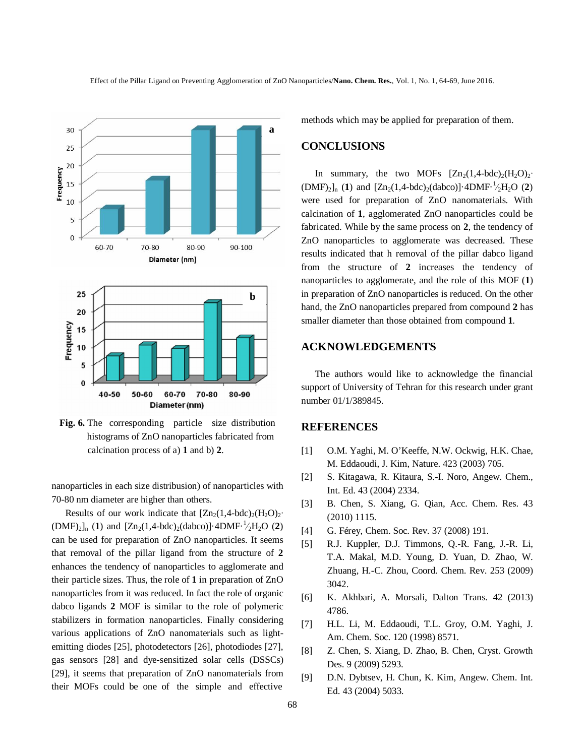

**Fig. 6.** The corresponding particle size distribution histograms of ZnO nanoparticles fabricated from calcination process of a) **1** and b) **2**.

nanoparticles in each size distribusion) of nanoparticles with 70-80 nm diameter are higher than others.

Results of our work indicate that  $[Zn_2(1,4-bdc)_2(H_2O)_2$ <sup>∙</sup>  $(DMF)_2]_n$  (1) and  $[Zn_2(1,4-bdc)_2(dabc0)]$ ·4DMF·<sup>1</sup>/<sub>2</sub>H<sub>2</sub>O (2) can be used for preparation of ZnO nanoparticles. It seems that removal of the pillar ligand from the structure of **2** enhances the tendency of nanoparticles to agglomerate and their particle sizes. Thus, the role of **1** in preparation of ZnO nanoparticles from it was reduced. In fact the role of organic dabco ligands **2** MOF is similar to the role of polymeric stabilizers in formation nanoparticles. Finally considering various applications of ZnO nanomaterials such as lightemitting diodes [25], photodetectors [26], photodiodes [27], gas sensors [28] and dye-sensitized solar cells (DSSCs) [29], it seems that preparation of ZnO nanomaterials from their MOFs could be one of the simple and effective

methods which may be applied for preparation of them.

## **CONCLUSIONS**

In summary, the two MOFs  $[Zn_2(1,4-bdc)_2(H_2O)_2$ <sup>•</sup>  $(DMF)_2$ <sub>n</sub> (1) and  $[Zn_2(1,4-bdc)_2(dabco)]$ ·4DMF·<sup>1</sup>/<sub>2</sub>H<sub>2</sub>O (2) were used for preparation of ZnO nanomaterials. With calcination of **1**, agglomerated ZnO nanoparticles could be fabricated. While by the same process on **2**, the tendency of ZnO nanoparticles to agglomerate was decreased. These results indicated that h removal of the pillar dabco ligand from the structure of **2** increases the tendency of nanoparticles to agglomerate, and the role of this MOF (**1**) in preparation of ZnO nanoparticles is reduced. On the other hand, the ZnO nanoparticles prepared from compound **2** has smaller diameter than those obtained from compound **1**.

## **ACKNOWLEDGEMENTS**

The authors would like to acknowledge the financial support of University of Tehran for this research under grant number 01/1/389845.

#### **REFERENCES**

- [1] O.M. Yaghi, M. O'Keeffe, N.W. Ockwig, H.K. Chae, M. Eddaoudi, J. Kim, Nature. 423 (2003) 705.
- [2] S. Kitagawa, R. Kitaura, S.-I. Noro, Angew. Chem., Int. Ed. 43 (2004) 2334.
- [3] B. Chen, S. Xiang, G. Qian, Acc. Chem. Res. 43 (2010) 1115.
- [4] G. Férey, Chem. Soc. Rev. 37 (2008) 191.
- [5] R.J. Kuppler, D.J. Timmons, Q.-R. Fang, J.-R. Li, T.A. Makal, M.D. Young, D. Yuan, D. Zhao, W. Zhuang, H.-C. Zhou, Coord. Chem. Rev. 253 (2009) 3042.
- [6] K. Akhbari, A. Morsali, Dalton Trans. 42 (2013) 4786.
- [7] H.L. Li, M. Eddaoudi, T.L. Groy, O.M. Yaghi, J. Am. Chem. Soc. 120 (1998) 8571.
- [8] Z. Chen, S. Xiang, D. Zhao, B. Chen, Cryst. Growth Des. 9 (2009) 5293.
- [9] D.N. Dybtsev, H. Chun, K. Kim, Angew. Chem. Int. Ed. 43 (2004) 5033.